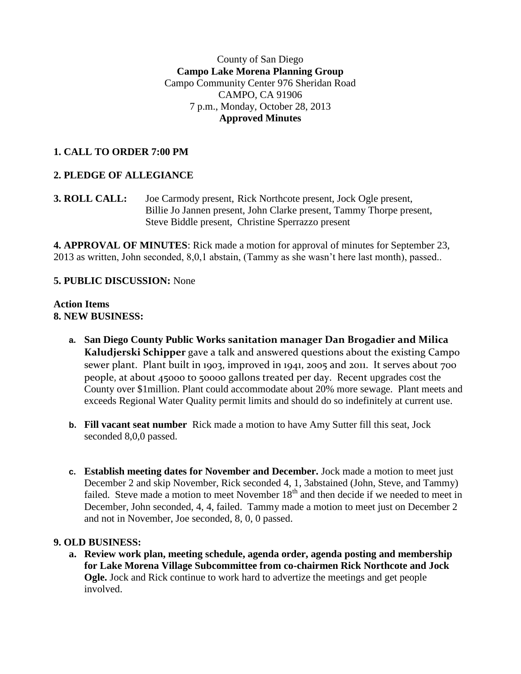### County of San Diego **Campo Lake Morena Planning Group** Campo Community Center 976 Sheridan Road CAMPO, CA 91906 7 p.m., Monday, October 28, 2013 **Approved Minutes**

## **1. CALL TO ORDER 7:00 PM**

## **2. PLEDGE OF ALLEGIANCE**

**3. ROLL CALL:** Joe Carmody present, Rick Northcote present, Jock Ogle present, Billie Jo Jannen present, John Clarke present, Tammy Thorpe present, Steve Biddle present, Christine Sperrazzo present

**4. APPROVAL OF MINUTES**: Rick made a motion for approval of minutes for September 23, 2013 as written, John seconded, 8,0,1 abstain, (Tammy as she wasn't here last month), passed..

#### **5. PUBLIC DISCUSSION:** None

#### **Action Items 8. NEW BUSINESS:**

- **a. San Diego County Public Works sanitation manager Dan Brogadier and Milica Kaludjerski Schipper** gave a talk and answered questions about the existing Campo sewer plant. Plant built in 1903, improved in 1941, 2005 and 2011. It serves about 700 people, at about 45000 t0 50000 gallons treated per day. Recent upgrades cost the County over \$1million. Plant could accommodate about 20% more sewage. Plant meets and exceeds Regional Water Quality permit limits and should do so indefinitely at current use.
- **b. Fill vacant seat number** Rick made a motion to have Amy Sutter fill this seat, Jock seconded 8,0,0 passed.
- **c. Establish meeting dates for November and December.** Jock made a motion to meet just December 2 and skip November, Rick seconded 4, 1, 3abstained (John, Steve, and Tammy) failed. Steve made a motion to meet November  $18<sup>th</sup>$  and then decide if we needed to meet in December, John seconded, 4, 4, failed. Tammy made a motion to meet just on December 2 and not in November, Joe seconded, 8, 0, 0 passed.

#### **9. OLD BUSINESS:**

**a. Review work plan, meeting schedule, agenda order, agenda posting and membership for Lake Morena Village Subcommittee from co-chairmen Rick Northcote and Jock Ogle.** Jock and Rick continue to work hard to advertize the meetings and get people involved.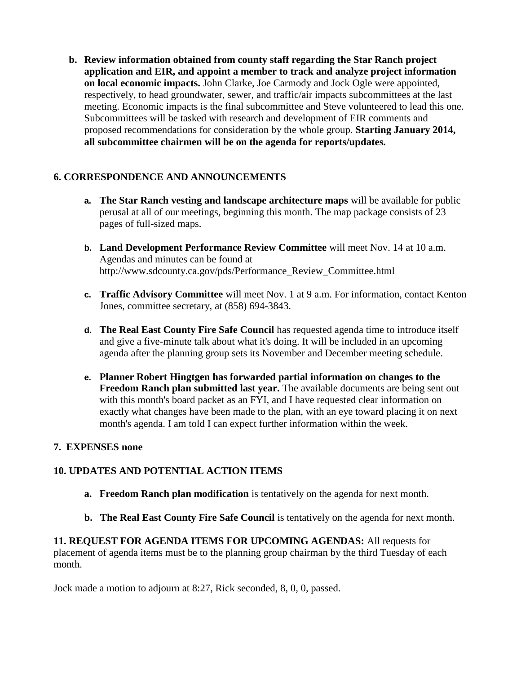**b. Review information obtained from county staff regarding the Star Ranch project application and EIR, and appoint a member to track and analyze project information on local economic impacts.** John Clarke, Joe Carmody and Jock Ogle were appointed, respectively, to head groundwater, sewer, and traffic/air impacts subcommittees at the last meeting. Economic impacts is the final subcommittee and Steve volunteered to lead this one. Subcommittees will be tasked with research and development of EIR comments and proposed recommendations for consideration by the whole group. **Starting January 2014, all subcommittee chairmen will be on the agenda for reports/updates.**

# **6. CORRESPONDENCE AND ANNOUNCEMENTS**

- **a. The Star Ranch vesting and landscape architecture maps** will be available for public perusal at all of our meetings, beginning this month. The map package consists of 23 pages of full-sized maps.
- **b. Land Development Performance Review Committee** will meet Nov. 14 at 10 a.m. Agendas and minutes can be found at http://www.sdcounty.ca.gov/pds/Performance\_Review\_Committee.html
- **c. Traffic Advisory Committee** will meet Nov. 1 at 9 a.m. For information, contact Kenton Jones, committee secretary, at (858) 694-3843.
- **d. The Real East County Fire Safe Council** has requested agenda time to introduce itself and give a five-minute talk about what it's doing. It will be included in an upcoming agenda after the planning group sets its November and December meeting schedule.
- **e. Planner Robert Hingtgen has forwarded partial information on changes to the Freedom Ranch plan submitted last year.** The available documents are being sent out with this month's board packet as an FYI, and I have requested clear information on exactly what changes have been made to the plan, with an eye toward placing it on next month's agenda. I am told I can expect further information within the week.

### **7. EXPENSES none**

# **10. UPDATES AND POTENTIAL ACTION ITEMS**

- **a. Freedom Ranch plan modification** is tentatively on the agenda for next month.
- **b. The Real East County Fire Safe Council** is tentatively on the agenda for next month.

**11. REQUEST FOR AGENDA ITEMS FOR UPCOMING AGENDAS:** All requests for placement of agenda items must be to the planning group chairman by the third Tuesday of each month.

Jock made a motion to adjourn at 8:27, Rick seconded, 8, 0, 0, passed.